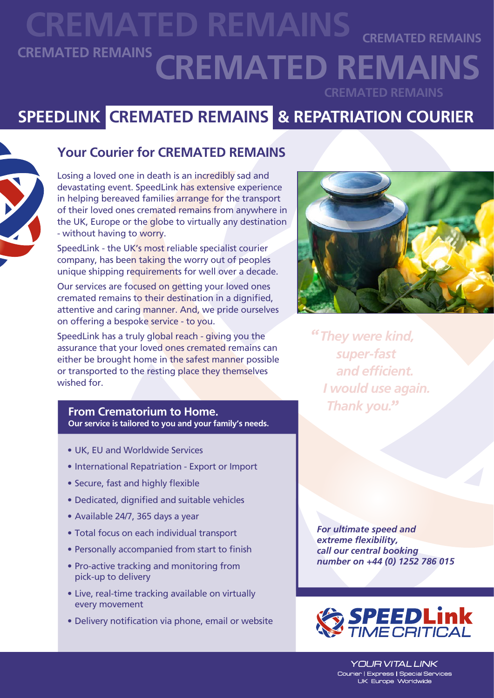### **CREMATED REMAINS CREMATED REMAINS CREMATED REMAINS CREMATED REMAINS CREMATED REMAINS**

## **SPEEDLINK CREMATED REMAINS & REPATRIATION COURIER**



#### **Your Courier for CREMATED REMAINS**

Losing a loved one in death is an incredibly sad and devastating event. SpeedLink has extensive experience in helping bereaved families arrange for the transport of their loved ones cremated remains from anywhere in the UK, Europe or the globe to virtually any destination - without having to worry.

SpeedLink - the UK's most reliable specialist courier company, has been taking the worry out of peoples unique shipping requirements for well over a decade.

Our services are focused on getting your loved ones cremated remains to their destination in a dignified, attentive and caring manner. And, we pride ourselves on offering a bespoke service - to you.

SpeedLink has a truly global reach - giving you the assurance that your loved ones cremated remains can either be brought home in the safest manner possible or transported to the resting place they themselves wished for.

#### *Thank you.* **From Crematorium to Home. Our service is tailored to you and your family's needs.**

- UK, EU and Worldwide Services
- International Repatriation Export or Import
- Secure, fast and highly flexible
- Dedicated, dignified and suitable vehicles
- Available 24/7, 365 days a year
- Total focus on each individual transport
- Personally accompanied from start to finish
- Pro-active tracking and monitoring from pick-up to delivery
- Live, real-time tracking available on virtually every movement
- Delivery notification via phone, email or website



 *They were kind, super-fast and efficient. I would use again.*

*For ultimate speed and extreme flexibility, call our central booking number on +44 (0) 1252 786 015*



**YOUR VITAL LINK** Courier | Express | Special Services UK Europe Worldwide